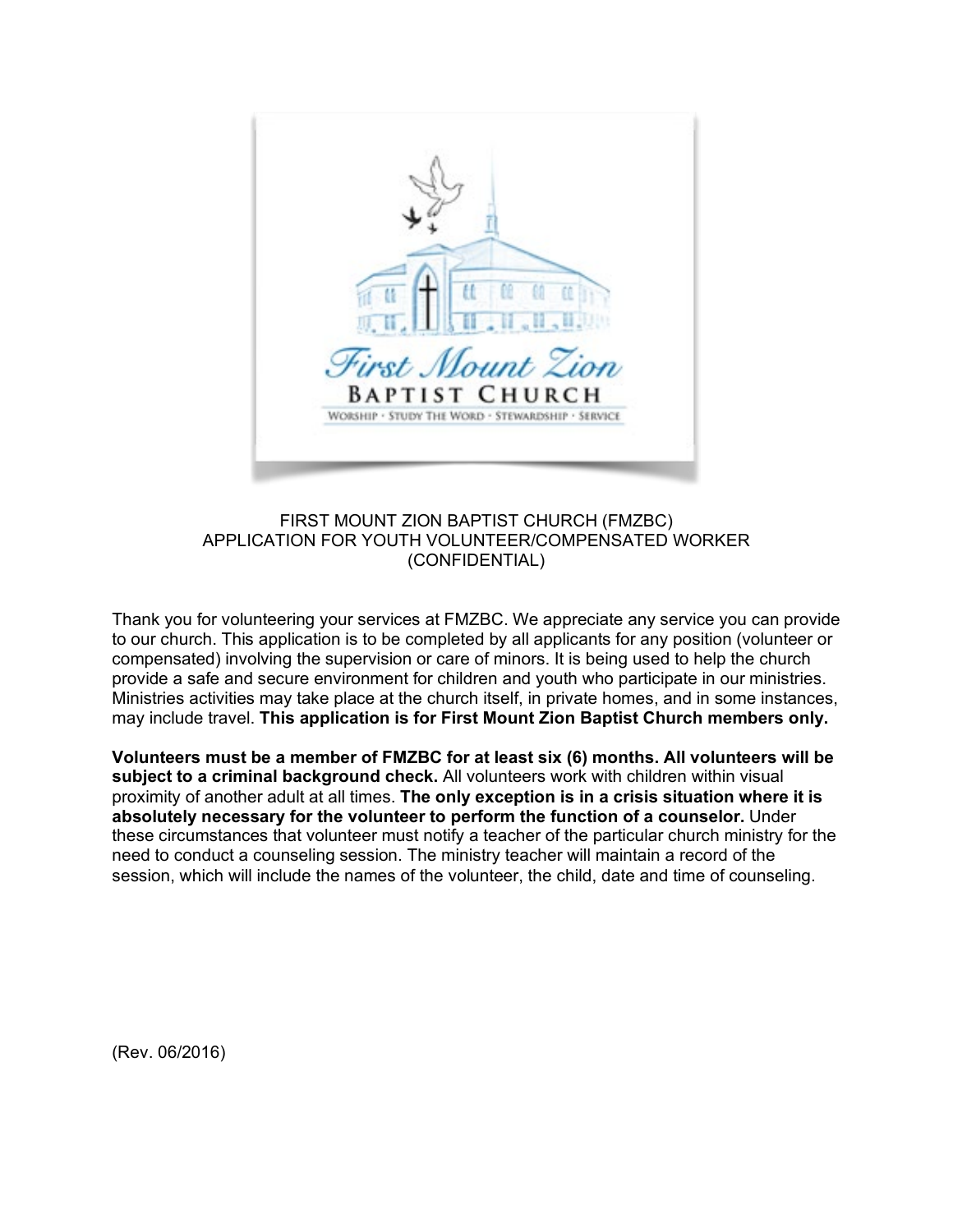

## FIRST MOUNT ZION BAPTIST CHURCH (FMZBC) APPLICATION FOR YOUTH VOLUNTEER/COMPENSATED WORKER (CONFIDENTIAL)

Thank you for volunteering your services at FMZBC. We appreciate any service you can provide to our church. This application is to be completed by all applicants for any position (volunteer or compensated) involving the supervision or care of minors. It is being used to help the church provide a safe and secure environment for children and youth who participate in our ministries. Ministries activities may take place at the church itself, in private homes, and in some instances, may include travel. **This application is for First Mount Zion Baptist Church members only.** 

**Volunteers must be a member of FMZBC for at least six (6) months. All volunteers will be subject to a criminal background check.** All volunteers work with children within visual proximity of another adult at all times. **The only exception is in a crisis situation where it is absolutely necessary for the volunteer to perform the function of a counselor.** Under these circumstances that volunteer must notify a teacher of the particular church ministry for the need to conduct a counseling session. The ministry teacher will maintain a record of the session, which will include the names of the volunteer, the child, date and time of counseling.

(Rev. 06/2016)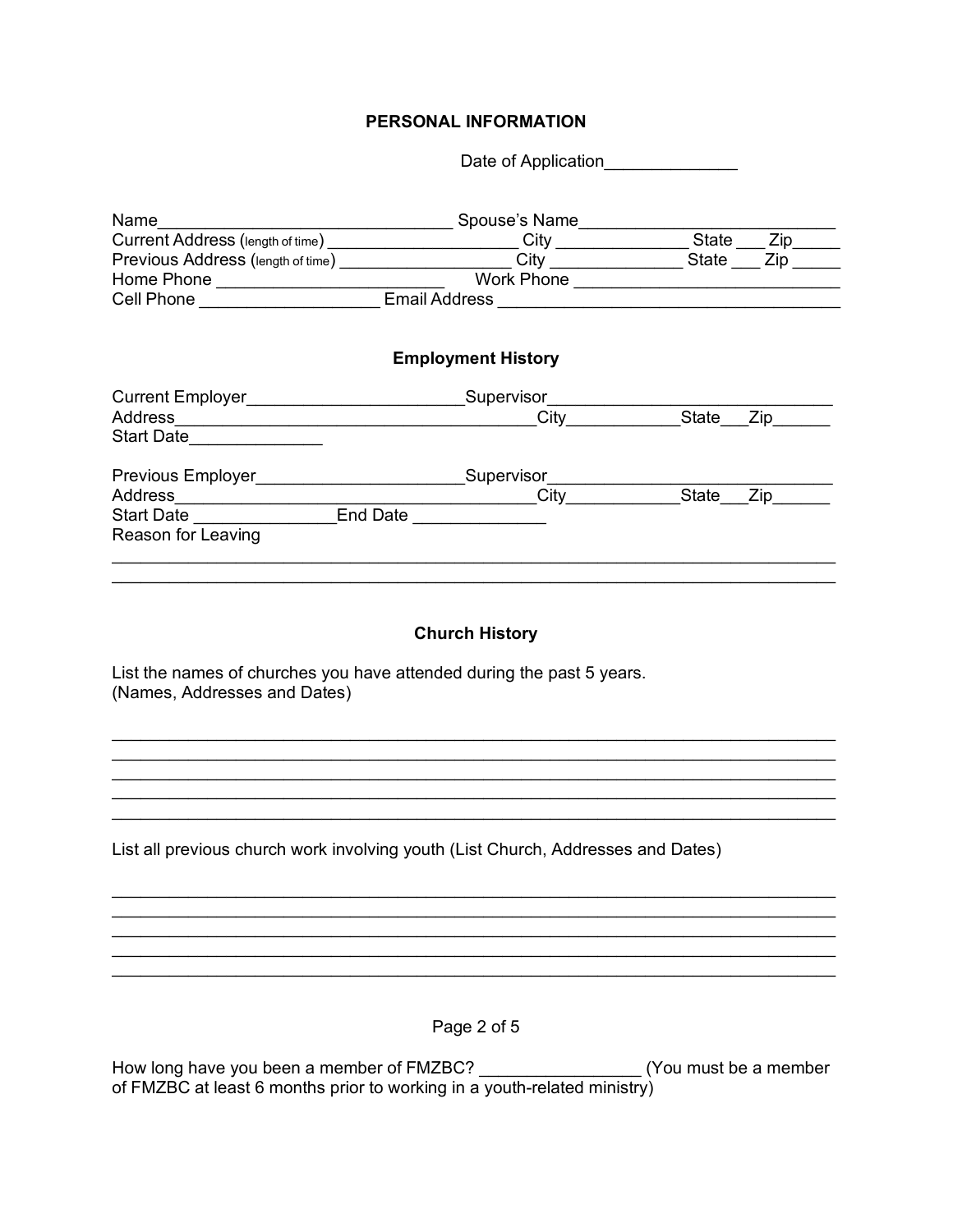## PERSONAL INFORMATION

Date of Application

| Name and the state of the state of the state of the state of the state of the state of the state of the state o | Spouse's Name                                                                              |              |                    |  |
|-----------------------------------------------------------------------------------------------------------------|--------------------------------------------------------------------------------------------|--------------|--------------------|--|
|                                                                                                                 | Current Address (length of time) _________________________City ___________________State __ |              |                    |  |
| Previous Address (length of time) _______________________                                                       |                                                                                            | State        | $Zip$ <sub>—</sub> |  |
|                                                                                                                 | Work Phone ______________________                                                          |              |                    |  |
| Cell Phone _____________________                                                                                |                                                                                            |              |                    |  |
|                                                                                                                 | <b>Employment History</b>                                                                  |              |                    |  |
| Current Employer________________________                                                                        | Supervisor                                                                                 |              |                    |  |
|                                                                                                                 |                                                                                            | State        | Zip                |  |
| Start Date  _____ <b>______</b> _                                                                               |                                                                                            |              |                    |  |
| Previous Employer____________________                                                                           | Supervisor                                                                                 |              |                    |  |
| Address __________________                                                                                      | ________________City                                                                       | <b>State</b> |                    |  |
| Start Date  ____________                                                                                        | End Date <u>_______________</u>                                                            |              |                    |  |
| Reason for Leaving                                                                                              |                                                                                            |              |                    |  |
|                                                                                                                 |                                                                                            |              |                    |  |
|                                                                                                                 |                                                                                            |              |                    |  |
|                                                                                                                 |                                                                                            |              |                    |  |

## **Church History**

<u> 1989 - Johann Stoff, amerikansk politiker (d. 1989)</u>

<u> 1989 - Johann Barbara, martxa alemaniar argamento este alemaniar alemaniar alemaniar alemaniar alemaniar a</u>

List the names of churches you have attended during the past 5 years. (Names, Addresses and Dates)

List all previous church work involving youth (List Church, Addresses and Dates)

Page 2 of 5

How long have you been a member of FMZBC? \_\_\_\_\_\_\_\_\_\_\_\_\_\_\_\_\_\_\_(You must be a member of FMZBC at least 6 months prior to working in a youth-related ministry)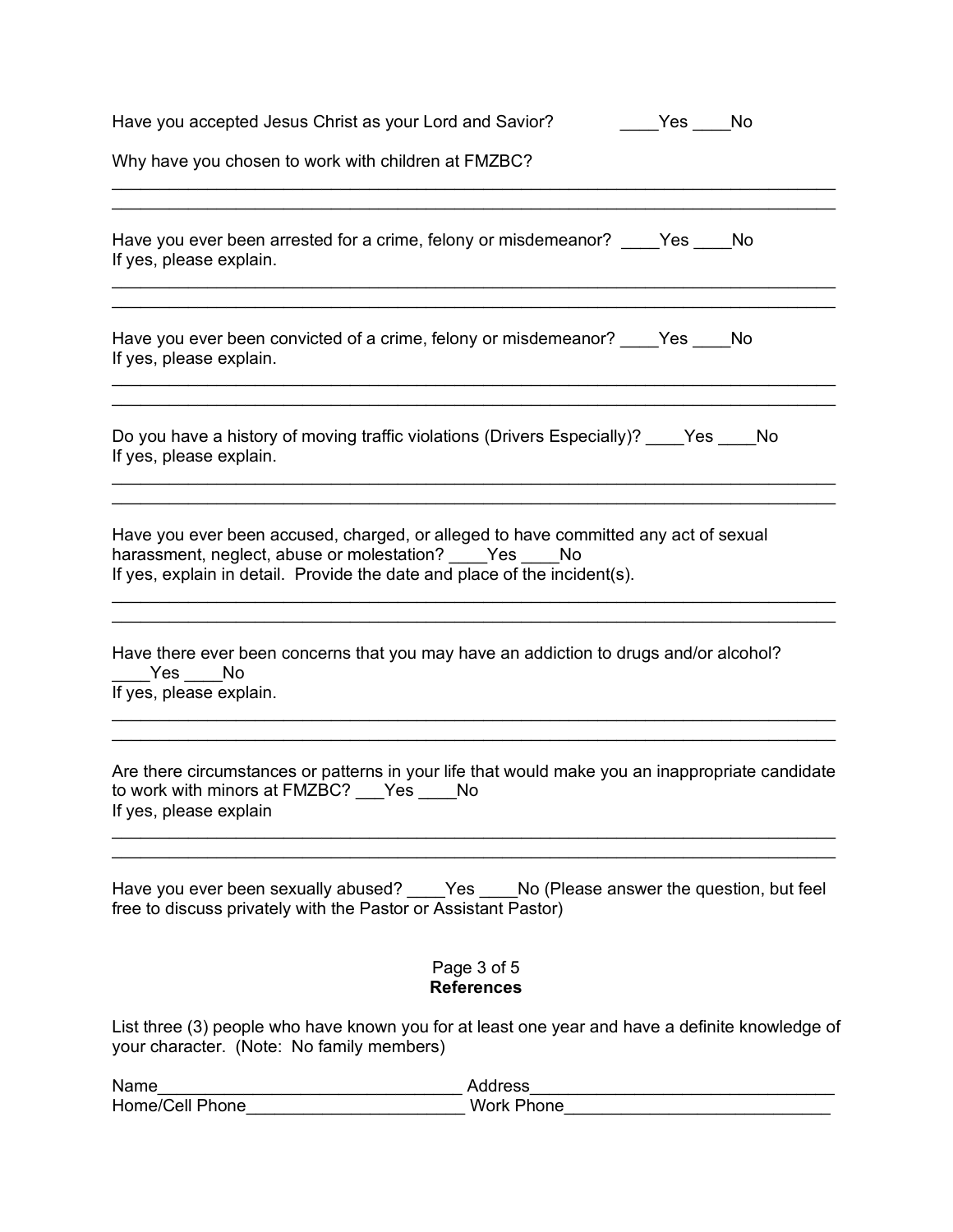| Have you accepted Jesus Christ as your Lord and Savior?                                                                                                                                                               | Yes No |  |  |
|-----------------------------------------------------------------------------------------------------------------------------------------------------------------------------------------------------------------------|--------|--|--|
| Why have you chosen to work with children at FMZBC?                                                                                                                                                                   |        |  |  |
| Have you ever been arrested for a crime, felony or misdemeanor? ____Yes ____No<br>If yes, please explain.                                                                                                             |        |  |  |
| Have you ever been convicted of a crime, felony or misdemeanor? _____Yes _____No<br>If yes, please explain.                                                                                                           |        |  |  |
| Do you have a history of moving traffic violations (Drivers Especially)? ____Yes ____No<br>If yes, please explain.                                                                                                    |        |  |  |
| Have you ever been accused, charged, or alleged to have committed any act of sexual<br>harassment, neglect, abuse or molestation? Yes No<br>If yes, explain in detail. Provide the date and place of the incident(s). |        |  |  |
| Have there ever been concerns that you may have an addiction to drugs and/or alcohol?<br>Yes No<br>If yes, please explain.                                                                                            |        |  |  |
| Are there circumstances or patterns in your life that would make you an inappropriate candidate<br>to work with minors at FMZBC? __ Yes ___ No<br>If yes, please explain                                              |        |  |  |
| Have you ever been sexually abused? Yes No (Please answer the question, but feel<br>free to discuss privately with the Pastor or Assistant Pastor)                                                                    |        |  |  |
| Page 3 of 5<br><b>References</b>                                                                                                                                                                                      |        |  |  |
| List three (3) people who have known you for at least one year and have a definite knowledge of<br>your character. (Note: No family members)                                                                          |        |  |  |

Name\_\_\_\_\_\_\_\_\_\_\_\_\_\_\_\_\_\_\_\_\_\_\_\_\_\_\_\_\_\_\_\_ Address\_\_\_\_\_\_\_\_\_\_\_\_\_\_\_\_\_\_\_\_\_\_\_\_\_\_\_\_\_\_\_\_ Home/Cell Phone\_\_\_\_\_\_\_\_\_\_\_\_\_\_\_\_\_\_\_\_\_\_\_\_\_\_\_\_Work Phone\_\_\_\_\_\_\_\_\_\_\_\_\_\_\_\_\_\_\_\_\_\_\_\_\_\_\_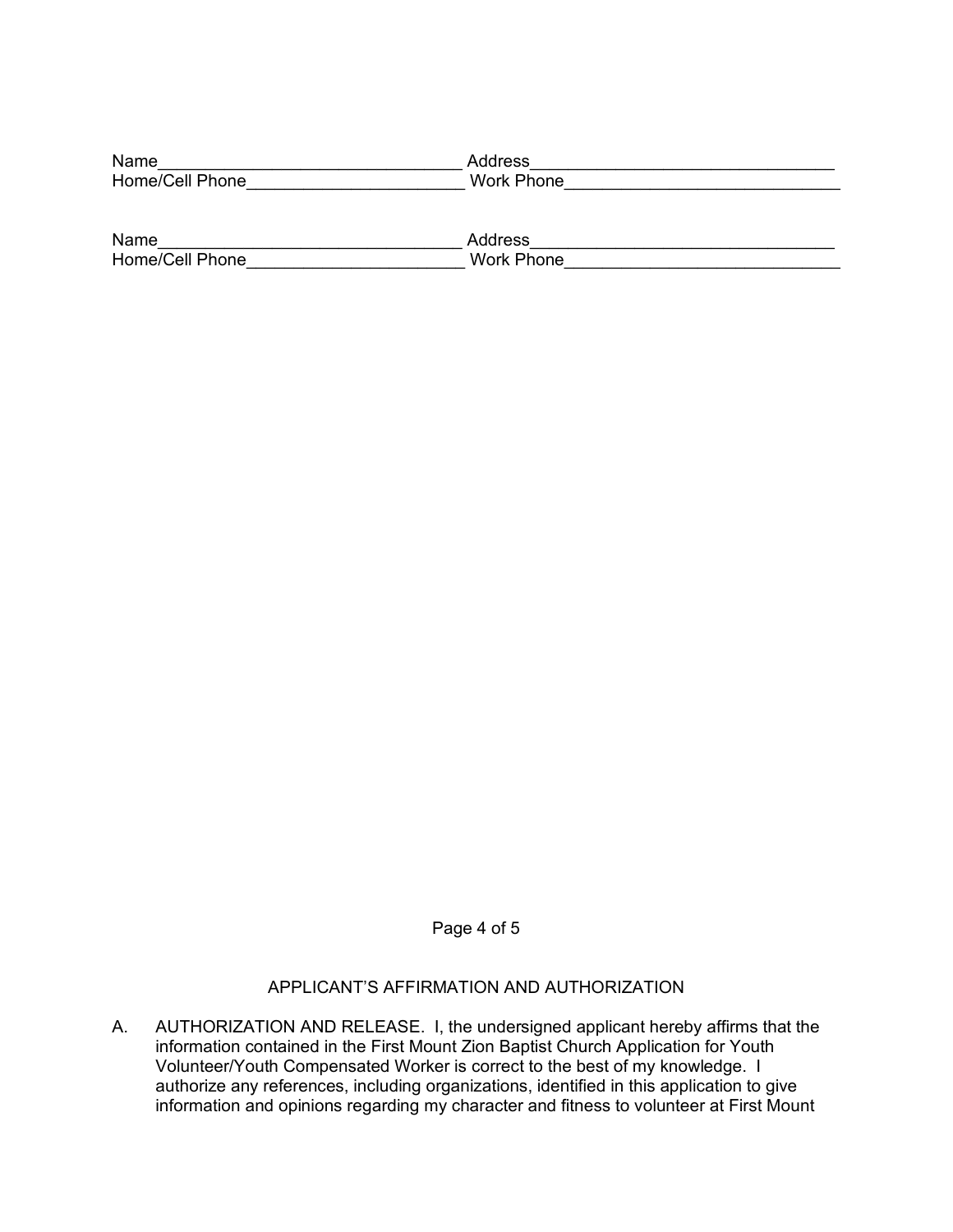| Name            | Address    |
|-----------------|------------|
| Home/Cell Phone | Work Phone |

| Name            | ddress               |
|-----------------|----------------------|
| Home/Cell Phone | <b>Work</b><br>Phone |

Page 4 of 5

## APPLICANT'S AFFIRMATION AND AUTHORIZATION

A. AUTHORIZATION AND RELEASE. I, the undersigned applicant hereby affirms that the information contained in the First Mount Zion Baptist Church Application for Youth Volunteer/Youth Compensated Worker is correct to the best of my knowledge. I authorize any references, including organizations, identified in this application to give information and opinions regarding my character and fitness to volunteer at First Mount